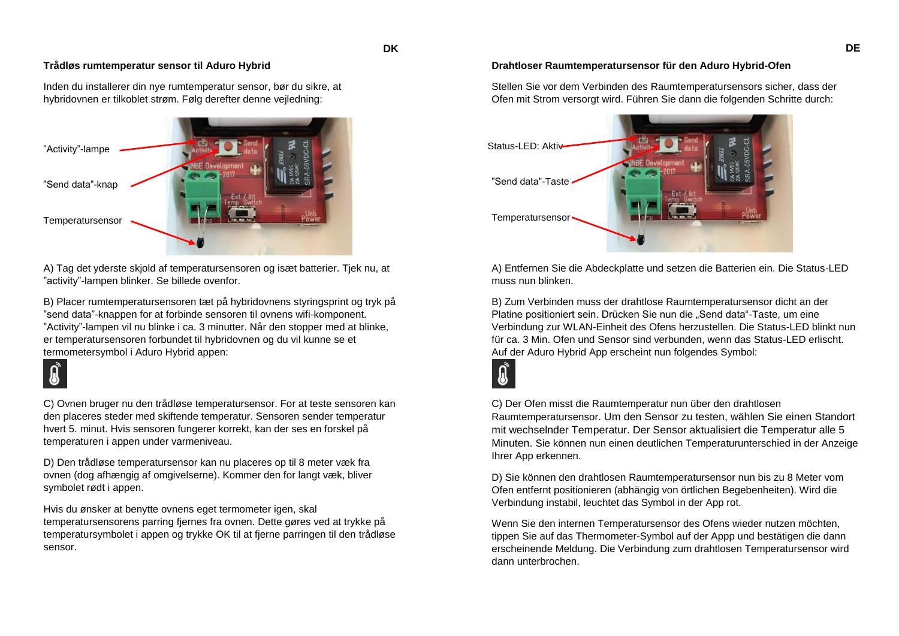# **Trådløs rumtemperatur sensor til Aduro Hybrid**

Inden du installerer din nye rumtemperatur sensor, bør du sikre, at hybridovnen er tilkoblet strøm. Følg derefter denne vejledning:



A) Tag det yderste skjold af temperatursensoren og isæt batterier. Tjek nu, at "activity"-lampen blinker. Se billede ovenfor.

B) Placer rumtemperatursensoren tæt på hybridovnens styringsprint og tryk på "send data"-knappen for at forbinde sensoren til ovnens wifi-komponent. "Activity"-lampen vil nu blinke i ca. 3 minutter. Når den stopper med at blinke, er temperatursensoren forbundet til hybridovnen og du vil kunne se et termometersymbol i Aduro Hybrid appen:

C) Ovnen bruger nu den trådløse temperatursensor. For at teste sensoren kan den placeres steder med skiftende temperatur. Sensoren sender temperatur hvert 5. minut. Hvis sensoren fungerer korrekt, kan der ses en forskel på temperaturen i appen under varmeniveau.

D) Den trådløse temperatursensor kan nu placeres op til 8 meter væk fra ovnen (dog afhængig af omgivelserne). Kommer den for langt væk, bliver symbolet rødt i appen.

Hvis du ønsker at benytte ovnens eget termometer igen, skal temperatursensorens parring fjernes fra ovnen. Dette gøres ved at trykke på temperatursymbolet i appen og trykke OK til at fjerne parringen til den trådløse sensor.

## **Drahtloser Raumtemperatursensor für den Aduro Hybrid-Ofen**

Stellen Sie vor dem Verbinden des Raumtemperatursensors sicher, dass der Ofen mit Strom versorgt wird. Führen Sie dann die folgenden Schritte durch:



A) Entfernen Sie die Abdeckplatte und setzen die Batterien ein. Die Status-LED muss nun blinken.

B) Zum Verbinden muss der drahtlose Raumtemperatursensor dicht an der Platine positioniert sein. Drücken Sie nun die "Send data"-Taste, um eine Verbindung zur WLAN-Einheit des Ofens herzustellen. Die Status-LED blinkt nun für ca. 3 Min. Ofen und Sensor sind verbunden, wenn das Status-LED erlischt. Auf der Aduro Hybrid App erscheint nun folgendes Symbol:



**DK**

C) Der Ofen misst die Raumtemperatur nun über den drahtlosen Raumtemperatursensor. Um den Sensor zu testen, wählen Sie einen Standort mit wechselnder Temperatur. Der Sensor aktualisiert die Temperatur alle 5 Minuten. Sie können nun einen deutlichen Temperaturunterschied in der Anzeige Ihrer App erkennen.

D) Sie können den drahtlosen Raumtemperatursensor nun bis zu 8 Meter vom Ofen entfernt positionieren (abhängig von örtlichen Begebenheiten). Wird die Verbindung instabil, leuchtet das Symbol in der App rot.

Wenn Sie den internen Temperatursensor des Ofens wieder nutzen möchten, tippen Sie auf das Thermometer-Symbol auf der Appp und bestätigen die dann erscheinende Meldung. Die Verbindung zum drahtlosen Temperatursensor wird dann unterbrochen.